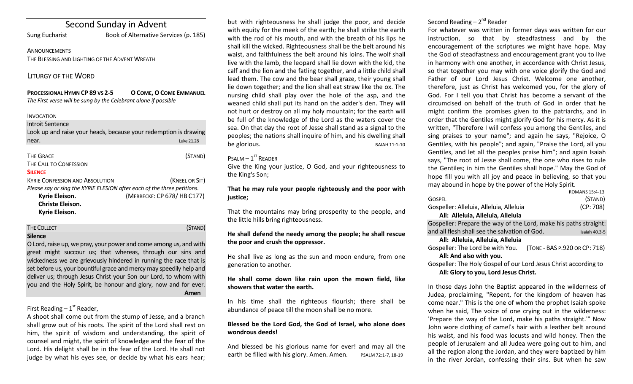# Second Sunday in Advent

Sung Eucharist Book of Alternative Services (p. 185)

ANNOUNCEMENTS THE BLESSING AND LIGHTING OF THE ADVENT WREATH

## LITURGY OF THE WORD

### **PROCESSIONAL HYMN CP 89 VS 2-5 OCOME,OCOME EMMANUEL** *The First verse will be sung by the Celebrant alone if possible*

### INVOCATION

## Introit Sentence

| Look up and raise your heads, because your redemption is drawing |            |
|------------------------------------------------------------------|------------|
| near.                                                            | Luke 21.28 |
|                                                                  |            |

| <b>THE GRACE</b>                                                        | (STAND)                    |  |
|-------------------------------------------------------------------------|----------------------------|--|
| THE CALL TO CONFESSION                                                  |                            |  |
| <b>SILENCE</b>                                                          |                            |  |
| <b>KYRIE CONFESSION AND ABSOLUTION</b>                                  | (KNEEL OR SIT)             |  |
| Please say or sing the KYRIE ELESION after each of the three petitions. |                            |  |
| Kyrie Eleison.                                                          | (MERBECKE: CP 678/HB C177) |  |
| <b>Christe Eleison.</b>                                                 |                            |  |

**Kyrie Eleison.**

## **THE COLLECT (STAND)**

## **Silence**

O Lord, raise up, we pray, your power and come among us, and with great might succour us; that whereas, through our sins and wickedness we are grievously hindered in running the race that is set before us, your bountiful grace and mercy may speedily help and deliver us; through Jesus Christ your Son our Lord, to whom with you and the Holy Spirit, be honour and glory, now and for ever. **Amen**

# First Reading –  $1<sup>st</sup>$  Reader,

A shoot shall come out from the stump of Jesse, and a branch shall grow out of his roots. The spirit of the Lord shall rest on him, the spirit of wisdom and understanding, the spirit of counsel and might, the spirit of knowledge and the fear of the Lord. His delight shall be in the fear of the Lord. He shall not judge by what his eyes see, or decide by what his ears hear;

but with righteousness he shall judge the poor, and decide with equity for the meek of the earth; he shall strike the earth with the rod of his mouth, and with the breath of his lips he shall kill the wicked. Righteousness shall be the belt around his waist, and faithfulness the belt around his loins. The wolf shall live with the lamb, the leopard shall lie down with the kid, the calf and the lion and the fatling together, and a little child shall lead them. The cow and the bear shall graze, their young shall lie down together; and the lion shall eat straw like the ox. The nursing child shall play over the hole of the asp, and the weaned child shall put its hand on the adder's den. They will not hurt or destroy on all my holy mountain; for the earth will be full of the knowledge of the Lord as the waters cover the sea. On that day the root of Jesse shall stand as a signal to the peoples; the nations shall inquire of him, and his dwelling shall be glorious. ISAIAH 11:1-10

## $P$ SALM  $-1$ <sup>ST</sup> READER

Give the King your justice, O God, and your righteousness to the King's Son;

## **That he may rule your people righteously and the poor with justice;**

That the mountains may bring prosperity to the people, and the little hills bring righteousness.

## **He shall defend the needy among the people; he shall rescue the poor and crush the oppressor.**

He shall live as long as the sun and moon endure, from one generation to another.

## **He shall come down like rain upon the mown field, like showers that water the earth.**

In his time shall the righteous flourish; there shall be abundance of peace till the moon shall be no more.

## **Blessed be the Lord God, the God of Israel, who alone does wondrous deeds!**

And blessed be his glorious name for ever! and may all the earth be filled with his glory. Amen. Amen. PSALM 72:1-7, 18-19

## Second Reading – 2<sup>nd</sup> Reader

For whatever was written in former days was written for our instruction, so that by steadfastness and by the encouragement of the scriptures we might have hope. May the God of steadfastness and encouragement grant you to live in harmony with one another, in accordance with Christ Jesus, so that together you may with one voice glorify the God and Father of our Lord Jesus Christ. Welcome one another, therefore, just as Christ has welcomed you, for the glory of God. For I tell you that Christ has become a servant of the circumcised on behalf of the truth of God in order that he might confirm the promises given to the patriarchs, and in order that the Gentiles might glorify God for his mercy. As it is written, "Therefore I will confess you among the Gentiles, and sing praises to your name"; and again he says, "Rejoice, O Gentiles, with his people"; and again, "Praise the Lord, all you Gentiles, and let all the peoples praise him"; and again Isaiah says, "The root of Jesse shall come, the one who rises to rule the Gentiles; in him the Gentiles shall hope." May the God of hope fill you with all joy and peace in believing, so that you may abound in hope by the power of the Holy Spirit.

|                                         | ROMANS 15:4-13 |
|-----------------------------------------|----------------|
| <b>GOSPEL</b>                           | (Stand)        |
| Gospeller: Alleluia, Alleluia, Alleluia | (CP: 708)      |
| All: Alleluia, Alleluia, Alleluia       |                |
|                                         |                |

Gospeller: Prepare the way of the Lord, make his paths straight: and all flesh shall see the salvation of God. Isaiah 40.3-5 **All: Alleluia, Alleluia, Alleluia** Gospeller: The Lord be with You. (TONE - BAS P.920 OR CP: 718) **All: And also with you.** 

Gospeller: The Holy Gospel of our Lord Jesus Christ according to **All: Glory to you, Lord Jesus Christ.**

In those days John the Baptist appeared in the wilderness of Judea, proclaiming, "Repent, for the kingdom of heaven has come near." This is the one of whom the prophet Isaiah spoke when he said, The voice of one crying out in the wilderness: 'Prepare the way of the Lord, make his paths straight.'" Now John wore clothing of camel's hair with a leather belt around his waist, and his food was locusts and wild honey. Then the people of Jerusalem and all Judea were going out to him, and all the region along the Jordan, and they were baptized by him in the river Jordan, confessing their sins. But when he saw